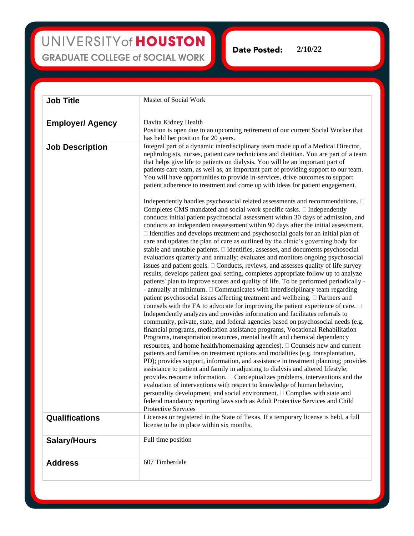## UNIVERSITY of HOUSTON **GRADUATE COLLEGE of SOCIAL WORK**

**Date Posted:** 

**Job Title** Master of Social Work **Employer/ Agency** Davita Kidney Health Position is open due to an upcoming retirement of our current Social Worker that has held her position for 20 years. **Job Description** Integral part of a dynamic interdisciplinary team made up of a Medical Director, nephrologists, nurses, patient care technicians and dietitian. You are part of a team that helps give life to patients on dialysis. You will be an important part of patients care team, as well as, an important part of providing support to our team. You will have opportunities to provide in-services, drive outcomes to support patient adherence to treatment and come up with ideas for patient engagement. Independently handles psychosocial related assessments and recommendations.  $\square$ Completes CMS mandated and social work specific tasks.  $\Box$  Independently conducts initial patient psychosocial assessment within 30 days of admission, and conducts an independent reassessment within 90 days after the initial assessment. Identifies and develops treatment and psychosocial goals for an initial plan of care and updates the plan of care as outlined by the clinic's governing body for stable and unstable patients.  $\Box$  Identifies, assesses, and documents psychosocial evaluations quarterly and annually; evaluates and monitors ongoing psychosocial issues and patient goals.  $\Box$  Conducts, reviews, and assesses quality of life survey results, develops patient goal setting, completes appropriate follow up to analyze patients' plan to improve scores and quality of life. To be performed periodically - - annually at minimum.  $\Box$  Communicates with interdisciplinary team regarding patient psychosocial issues affecting treatment and wellbeing.  $\Box$  Partners and counsels with the FA to advocate for improving the patient experience of care.  $\Box$ Independently analyzes and provides information and facilitates referrals to community, private, state, and federal agencies based on psychosocial needs (e.g. financial programs, medication assistance programs, Vocational Rehabilitation Programs, transportation resources, mental health and chemical dependency resources, and home health/homemaking agencies).  $\Box$  Counsels new and current patients and families on treatment options and modalities (e.g. transplantation, PD); provides support, information, and assistance in treatment planning; provides assistance to patient and family in adjusting to dialysis and altered lifestyle; provides resource information.  $\Box$  Conceptualizes problems, interventions and the evaluation of interventions with respect to knowledge of human behavior, personality development, and social environment.  $\Box$  Complies with state and federal mandatory reporting laws such as Adult Protective Services and Child Protective Services **Qualifications** Licenses or registered in the State of Texas. If a temporary license is held, a full license to be in place within six months. **Salary/Hours** Full time position Address 607 Timberdale

**2/10/22**